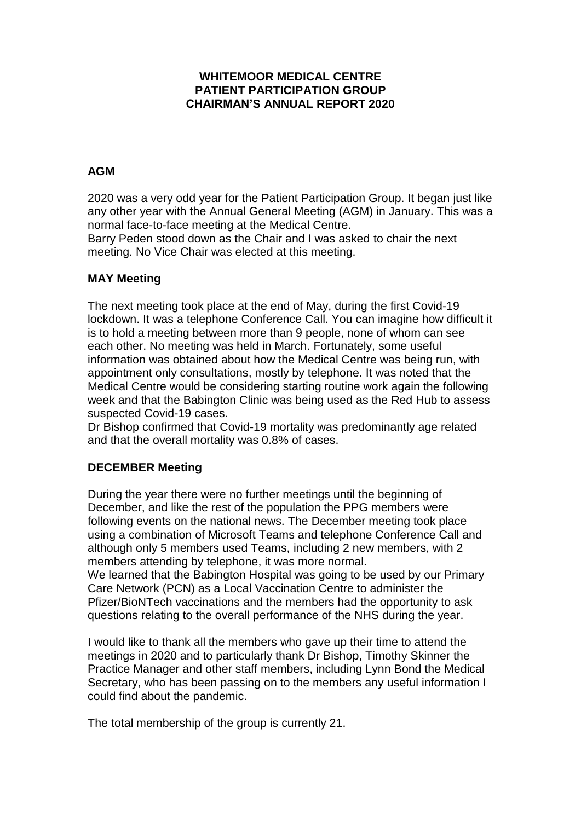## **WHITEMOOR MEDICAL CENTRE PATIENT PARTICIPATION GROUP CHAIRMAN'S ANNUAL REPORT 2020**

# **AGM**

2020 was a very odd year for the Patient Participation Group. It began just like any other year with the Annual General Meeting (AGM) in January. This was a normal face-to-face meeting at the Medical Centre.

Barry Peden stood down as the Chair and I was asked to chair the next meeting. No Vice Chair was elected at this meeting.

## **MAY Meeting**

The next meeting took place at the end of May, during the first Covid-19 lockdown. It was a telephone Conference Call. You can imagine how difficult it is to hold a meeting between more than 9 people, none of whom can see each other. No meeting was held in March. Fortunately, some useful information was obtained about how the Medical Centre was being run, with appointment only consultations, mostly by telephone. It was noted that the Medical Centre would be considering starting routine work again the following week and that the Babington Clinic was being used as the Red Hub to assess suspected Covid-19 cases.

Dr Bishop confirmed that Covid-19 mortality was predominantly age related and that the overall mortality was 0.8% of cases.

## **DECEMBER Meeting**

During the year there were no further meetings until the beginning of December, and like the rest of the population the PPG members were following events on the national news. The December meeting took place using a combination of Microsoft Teams and telephone Conference Call and although only 5 members used Teams, including 2 new members, with 2 members attending by telephone, it was more normal.

We learned that the Babington Hospital was going to be used by our Primary Care Network (PCN) as a Local Vaccination Centre to administer the Pfizer/BioNTech vaccinations and the members had the opportunity to ask questions relating to the overall performance of the NHS during the year.

I would like to thank all the members who gave up their time to attend the meetings in 2020 and to particularly thank Dr Bishop, Timothy Skinner the Practice Manager and other staff members, including Lynn Bond the Medical Secretary, who has been passing on to the members any useful information I could find about the pandemic.

The total membership of the group is currently 21.